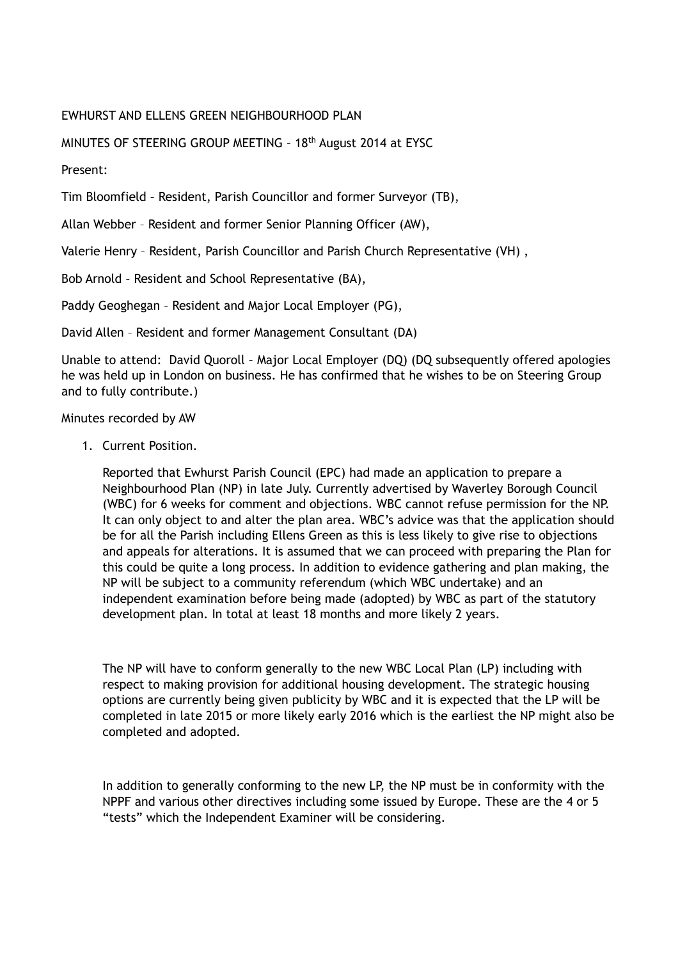## EWHURST AND ELLENS GREEN NEIGHBOURHOOD PLAN

## MINUTES OF STEERING GROUP MEETING – 18th August 2014 at EYSC

Present:

Tim Bloomfield – Resident, Parish Councillor and former Surveyor (TB),

Allan Webber – Resident and former Senior Planning Officer (AW),

Valerie Henry – Resident, Parish Councillor and Parish Church Representative (VH) ,

Bob Arnold – Resident and School Representative (BA),

Paddy Geoghegan – Resident and Major Local Employer (PG),

David Allen – Resident and former Management Consultant (DA)

Unable to attend: David Quoroll – Major Local Employer (DQ) (DQ subsequently offered apologies he was held up in London on business. He has confirmed that he wishes to be on Steering Group and to fully contribute.)

Minutes recorded by AW

1. Current Position.

Reported that Ewhurst Parish Council (EPC) had made an application to prepare a Neighbourhood Plan (NP) in late July. Currently advertised by Waverley Borough Council (WBC) for 6 weeks for comment and objections. WBC cannot refuse permission for the NP. It can only object to and alter the plan area. WBC's advice was that the application should be for all the Parish including Ellens Green as this is less likely to give rise to objections and appeals for alterations. It is assumed that we can proceed with preparing the Plan for this could be quite a long process. In addition to evidence gathering and plan making, the NP will be subject to a community referendum (which WBC undertake) and an independent examination before being made (adopted) by WBC as part of the statutory development plan. In total at least 18 months and more likely 2 years.

The NP will have to conform generally to the new WBC Local Plan (LP) including with respect to making provision for additional housing development. The strategic housing options are currently being given publicity by WBC and it is expected that the LP will be completed in late 2015 or more likely early 2016 which is the earliest the NP might also be completed and adopted.

In addition to generally conforming to the new LP, the NP must be in conformity with the NPPF and various other directives including some issued by Europe. These are the 4 or 5 "tests" which the Independent Examiner will be considering.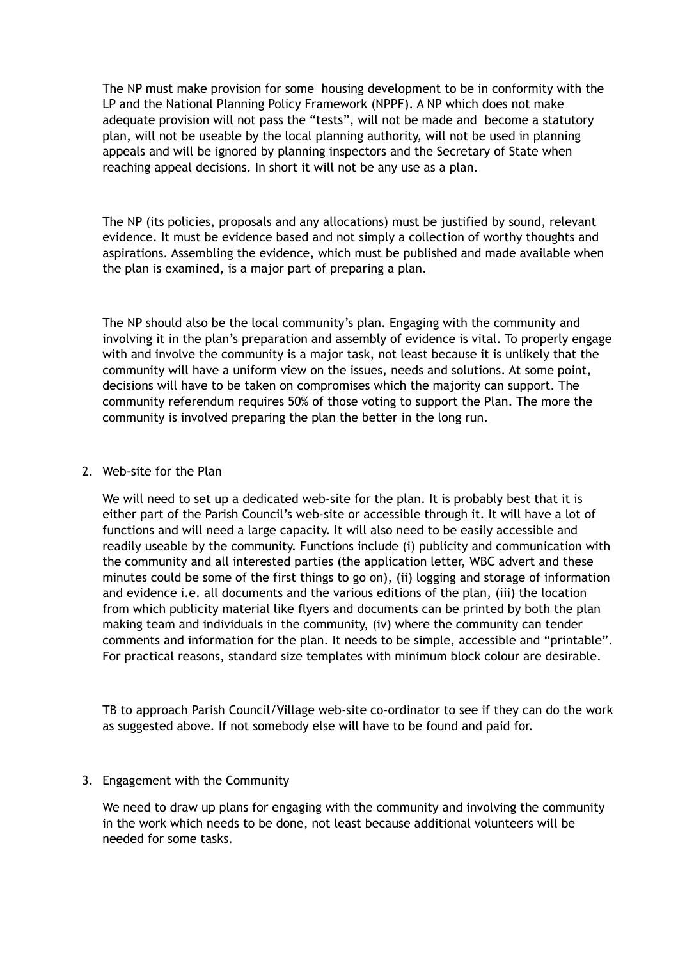The NP must make provision for some housing development to be in conformity with the LP and the National Planning Policy Framework (NPPF). A NP which does not make adequate provision will not pass the "tests", will not be made and become a statutory plan, will not be useable by the local planning authority, will not be used in planning appeals and will be ignored by planning inspectors and the Secretary of State when reaching appeal decisions. In short it will not be any use as a plan.

The NP (its policies, proposals and any allocations) must be justified by sound, relevant evidence. It must be evidence based and not simply a collection of worthy thoughts and aspirations. Assembling the evidence, which must be published and made available when the plan is examined, is a major part of preparing a plan.

The NP should also be the local community's plan. Engaging with the community and involving it in the plan's preparation and assembly of evidence is vital. To properly engage with and involve the community is a major task, not least because it is unlikely that the community will have a uniform view on the issues, needs and solutions. At some point, decisions will have to be taken on compromises which the majority can support. The community referendum requires 50% of those voting to support the Plan. The more the community is involved preparing the plan the better in the long run.

## 2. Web-site for the Plan

We will need to set up a dedicated web-site for the plan. It is probably best that it is either part of the Parish Council's web-site or accessible through it. It will have a lot of functions and will need a large capacity. It will also need to be easily accessible and readily useable by the community. Functions include (i) publicity and communication with the community and all interested parties (the application letter, WBC advert and these minutes could be some of the first things to go on), (ii) logging and storage of information and evidence i.e. all documents and the various editions of the plan, (iii) the location from which publicity material like flyers and documents can be printed by both the plan making team and individuals in the community, (iv) where the community can tender comments and information for the plan. It needs to be simple, accessible and "printable". For practical reasons, standard size templates with minimum block colour are desirable.

TB to approach Parish Council/Village web-site co-ordinator to see if they can do the work as suggested above. If not somebody else will have to be found and paid for.

## 3. Engagement with the Community

We need to draw up plans for engaging with the community and involving the community in the work which needs to be done, not least because additional volunteers will be needed for some tasks.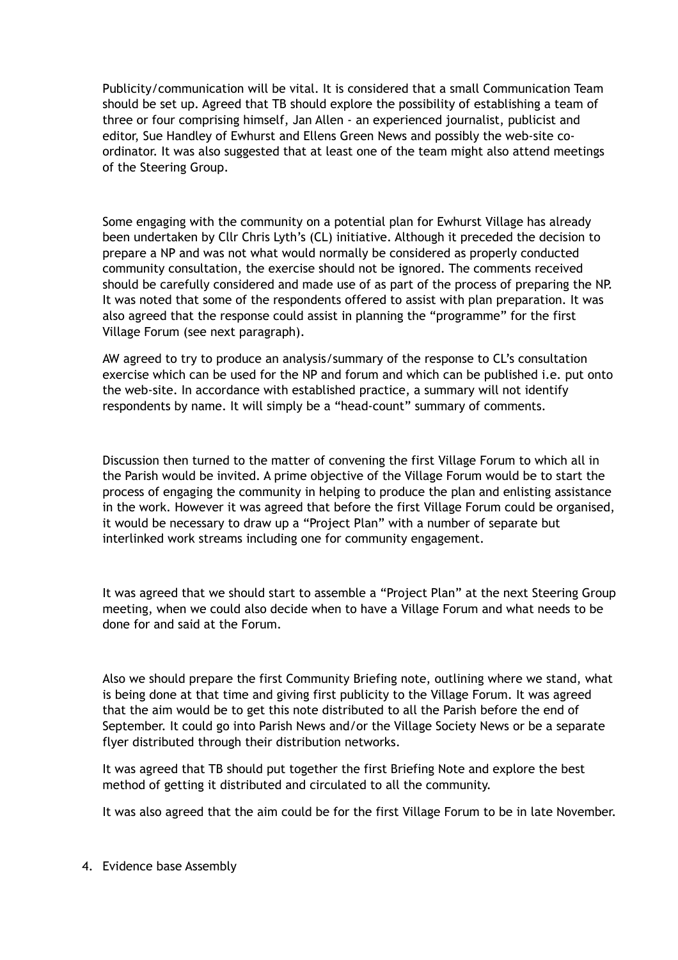Publicity/communication will be vital. It is considered that a small Communication Team should be set up. Agreed that TB should explore the possibility of establishing a team of three or four comprising himself, Jan Allen - an experienced journalist, publicist and editor, Sue Handley of Ewhurst and Ellens Green News and possibly the web-site coordinator. It was also suggested that at least one of the team might also attend meetings of the Steering Group.

Some engaging with the community on a potential plan for Ewhurst Village has already been undertaken by Cllr Chris Lyth's (CL) initiative. Although it preceded the decision to prepare a NP and was not what would normally be considered as properly conducted community consultation, the exercise should not be ignored. The comments received should be carefully considered and made use of as part of the process of preparing the NP. It was noted that some of the respondents offered to assist with plan preparation. It was also agreed that the response could assist in planning the "programme" for the first Village Forum (see next paragraph).

AW agreed to try to produce an analysis/summary of the response to CL's consultation exercise which can be used for the NP and forum and which can be published i.e. put onto the web-site. In accordance with established practice, a summary will not identify respondents by name. It will simply be a "head-count" summary of comments.

Discussion then turned to the matter of convening the first Village Forum to which all in the Parish would be invited. A prime objective of the Village Forum would be to start the process of engaging the community in helping to produce the plan and enlisting assistance in the work. However it was agreed that before the first Village Forum could be organised, it would be necessary to draw up a "Project Plan" with a number of separate but interlinked work streams including one for community engagement.

It was agreed that we should start to assemble a "Project Plan" at the next Steering Group meeting, when we could also decide when to have a Village Forum and what needs to be done for and said at the Forum.

Also we should prepare the first Community Briefing note, outlining where we stand, what is being done at that time and giving first publicity to the Village Forum. It was agreed that the aim would be to get this note distributed to all the Parish before the end of September. It could go into Parish News and/or the Village Society News or be a separate flyer distributed through their distribution networks.

It was agreed that TB should put together the first Briefing Note and explore the best method of getting it distributed and circulated to all the community.

It was also agreed that the aim could be for the first Village Forum to be in late November.

4. Evidence base Assembly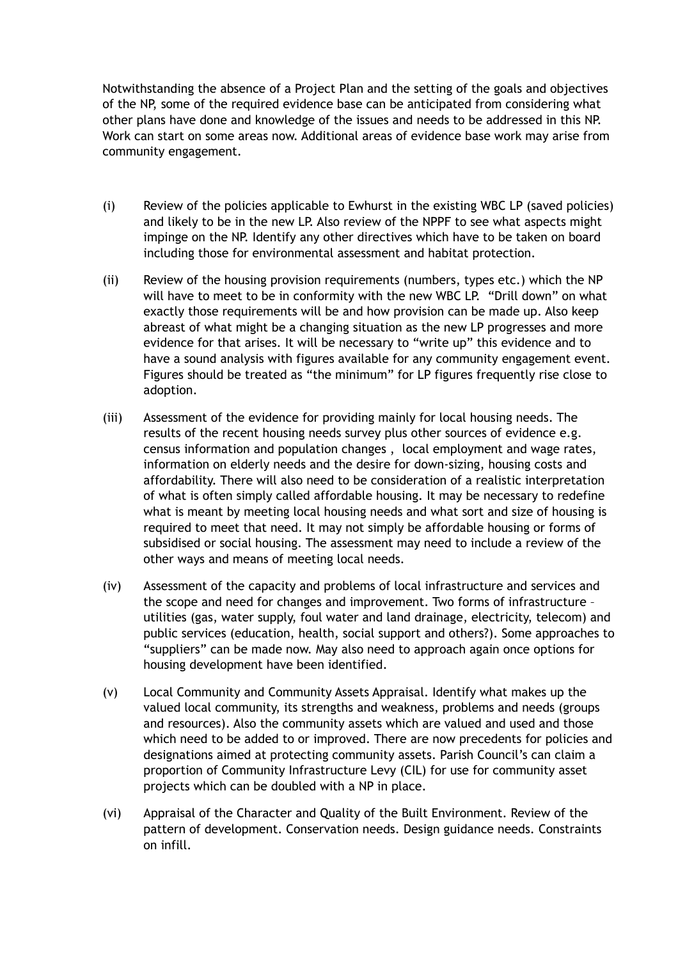Notwithstanding the absence of a Project Plan and the setting of the goals and objectives of the NP, some of the required evidence base can be anticipated from considering what other plans have done and knowledge of the issues and needs to be addressed in this NP. Work can start on some areas now. Additional areas of evidence base work may arise from community engagement.

- (i) Review of the policies applicable to Ewhurst in the existing WBC LP (saved policies) and likely to be in the new LP. Also review of the NPPF to see what aspects might impinge on the NP. Identify any other directives which have to be taken on board including those for environmental assessment and habitat protection.
- (ii) Review of the housing provision requirements (numbers, types etc.) which the NP will have to meet to be in conformity with the new WBC LP. "Drill down" on what exactly those requirements will be and how provision can be made up. Also keep abreast of what might be a changing situation as the new LP progresses and more evidence for that arises. It will be necessary to "write up" this evidence and to have a sound analysis with figures available for any community engagement event. Figures should be treated as "the minimum" for LP figures frequently rise close to adoption.
- (iii) Assessment of the evidence for providing mainly for local housing needs. The results of the recent housing needs survey plus other sources of evidence e.g. census information and population changes , local employment and wage rates, information on elderly needs and the desire for down-sizing, housing costs and affordability. There will also need to be consideration of a realistic interpretation of what is often simply called affordable housing. It may be necessary to redefine what is meant by meeting local housing needs and what sort and size of housing is required to meet that need. It may not simply be affordable housing or forms of subsidised or social housing. The assessment may need to include a review of the other ways and means of meeting local needs.
- (iv) Assessment of the capacity and problems of local infrastructure and services and the scope and need for changes and improvement. Two forms of infrastructure – utilities (gas, water supply, foul water and land drainage, electricity, telecom) and public services (education, health, social support and others?). Some approaches to "suppliers" can be made now. May also need to approach again once options for housing development have been identified.
- (v) Local Community and Community Assets Appraisal. Identify what makes up the valued local community, its strengths and weakness, problems and needs (groups and resources). Also the community assets which are valued and used and those which need to be added to or improved. There are now precedents for policies and designations aimed at protecting community assets. Parish Council's can claim a proportion of Community Infrastructure Levy (CIL) for use for community asset projects which can be doubled with a NP in place.
- (vi) Appraisal of the Character and Quality of the Built Environment. Review of the pattern of development. Conservation needs. Design guidance needs. Constraints on infill.